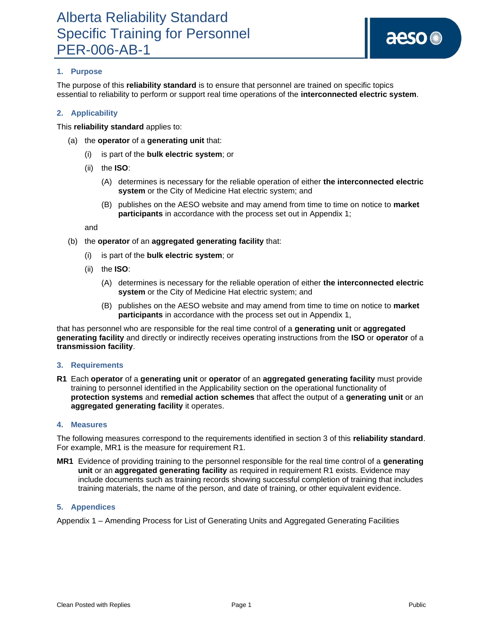## **1. Purpose**

The purpose of this **reliability standard** is to ensure that personnel are trained on specific topics essential to reliability to perform or support real time operations of the **interconnected electric system**.

### **2. Applicability**

This **reliability standard** applies to:

- (a) the **operator** of a **generating unit** that:
	- (i) is part of the **bulk electric system**; or
	- (ii) the **ISO**:
		- (A) determines is necessary for the reliable operation of either **the interconnected electric system** or the City of Medicine Hat electric system; and
		- (B) publishes on the AESO website and may amend from time to time on notice to **market participants** in accordance with the process set out in Appendix 1;

and

- (b) the **operator** of an **aggregated generating facility** that:
	- (i) is part of the **bulk electric system**; or
	- (ii) the **ISO**:
		- (A) determines is necessary for the reliable operation of either **the interconnected electric system** or the City of Medicine Hat electric system; and
		- (B) publishes on the AESO website and may amend from time to time on notice to **market participants** in accordance with the process set out in Appendix 1,

that has personnel who are responsible for the real time control of a **generating unit** or **aggregated generating facility** and directly or indirectly receives operating instructions from the **ISO** or **operator** of a **transmission facility**.

### **3. Requirements**

**R1** Each **operator** of a **generating unit** or **operator** of an **aggregated generating facility** must provide training to personnel identified in the Applicability section on the operational functionality of **protection systems** and **remedial action schemes** that affect the output of a **generating unit** or an **aggregated generating facility** it operates.

### **4. Measures**

The following measures correspond to the requirements identified in section 3 of this **reliability standard**. For example, MR1 is the measure for requirement R1.

**MR1** Evidence of providing training to the personnel responsible for the real time control of a **generating unit** or an **aggregated generating facility** as required in requirement R1 exists. Evidence may include documents such as training records showing successful completion of training that includes training materials, the name of the person, and date of training, or other equivalent evidence.

### **5. Appendices**

Appendix 1 – Amending Process for List of Generating Units and Aggregated Generating Facilities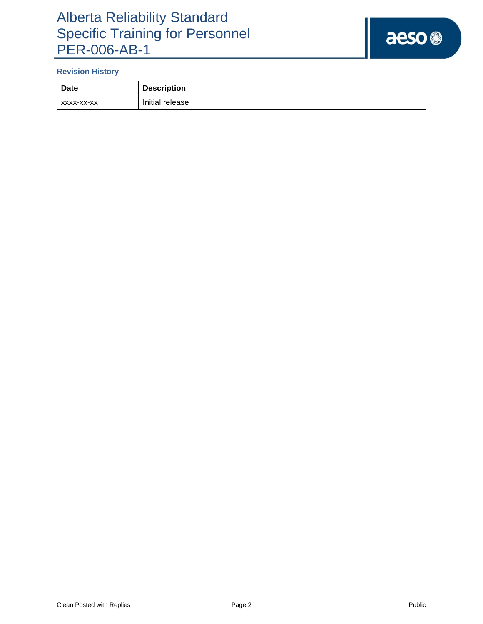# Alberta Reliability Standard Specific Training for Personnel PER-006-AB-1

# aeso<sup>®</sup>

# **Revision History**

| Date       | <b>Description</b> |
|------------|--------------------|
| XXXX-XX-XX | Initial release    |